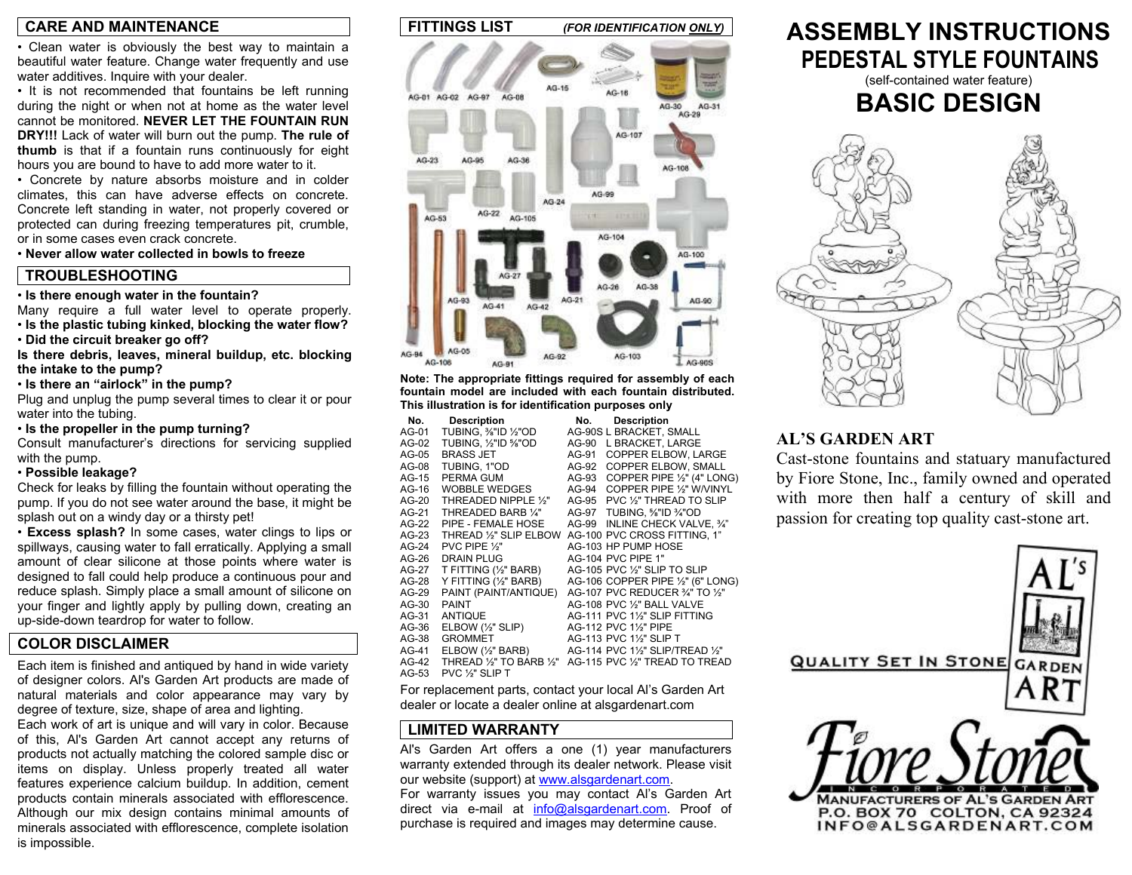### **CARE AND MAINTENANCE**

• Clean water is obviously the best way to maintain a beautiful water feature. Change water frequently and use water additives. Inquire with your dealer.

• It is not recommended that fountains be left running during the night or when not at home as the water level cannot be monitored. **NEVER LET THE FOUNTAIN RUN DRY!!!** Lack of water will burn out the pump. **The rule of thumb** is that if a fountain runs continuously for eight hours you are bound to have to add more water to it.

• Concrete by nature absorbs moisture and in colder climates, this can have adverse effects on concrete. Concrete left standing in water, not properly covered or protected can during freezing temperatures pit, crumble, or in some cases even crack concrete.

• **Never allow water collected in bowls to freeze**

### **TROUBLESHOOTING**

#### • **Is there enough water in the fountain?**

Many require a full water level to operate properly. • **Is the plastic tubing kinked, blocking the water flow?** 

• **Did the circuit breaker go off?** 

**Is there debris, leaves, mineral buildup, etc. blocking the intake to the pump?** 

• **Is there an "airlock" in the pump?** 

Plug and unplug the pump several times to clear it or pour water into the tubing.

• **Is the propeller in the pump turning?** 

Consult manufacturer's directions for servicing supplied with the pump.

### • **Possible leakage?**

Check for leaks by filling the fountain without operating the pump. If you do not see water around the base, it might be splash out on a windy day or a thirsty pet!

• **Excess splash?** In some cases, water clings to lips or spillways, causing water to fall erratically. Applying a small amount of clear silicone at those points where water is designed to fall could help produce a continuous pour and reduce splash. Simply place a small amount of silicone on your finger and lightly apply by pulling down, creating an up-side-down teardrop for water to follow.

### **COLOR DISCLAIMER**

Each item is finished and antiqued by hand in wide variety of designer colors. Al's Garden Art products are made of natural materials and color appearance may vary by degree of texture, size, shape of area and lighting.

Each work of art is unique and will vary in color. Because of this, Al's Garden Art cannot accept any returns of products not actually matching the colored sample disc or items on display. Unless properly treated all water features experience calcium buildup. In addition, cement products contain minerals associated with efflorescence. Although our mix design contains minimal amounts of minerals associated with efflorescence, complete isolation is impossible.



**Note: The appropriate fittings required for assembly of each fountain model are included with each fountain distributed. This illustration is for identification purposes only** 

| No.     | <b>Description</b>           | No.   | <b>Description</b>                        |
|---------|------------------------------|-------|-------------------------------------------|
| AG-01   | TUBING. 1/8"ID 1/2"OD        |       | AG-90S L BRACKET. SMALL                   |
| AG-02   | TUBING. 1/2"ID 5/8"OD        | AG-90 | L BRACKET. LARGE                          |
| AG-05   | <b>BRASS JET</b>             | AG-91 | <b>COPPER ELBOW. LARGE</b>                |
| AG-08   | TUBING, 1"OD                 | AG-92 | <b>COPPER ELBOW, SMALL</b>                |
| $AG-15$ | PERMA GUM                    | AG-93 | COPPER PIPE 1/2" (4" LONG)                |
| AG-16   | WOBBLE WEDGES                | AG-94 | COPPER PIPE 1/2" W/VINYL                  |
| AG-20   | THREADED NIPPLE 1/2"         | AG-95 | PVC 1/2" THREAD TO SLIP                   |
| AG-21   | THREADED BARB 1/4"           | AG-97 | TUBING, %"ID %"OD                         |
| $AG-22$ | PIPE - FEMALE HOSE           | AG-99 | INLINE CHECK VALVE. 3/4"                  |
| AG-23   | THREAD 1/2" SLIP ELBOW       |       | AG-100 PVC CROSS FITTING, 1"              |
| AG-24   | PVC PIPE $\frac{1}{2}$ "     |       | AG-103 HP PUMP HOSE                       |
| AG-26   | <b>DRAIN PLUG</b>            |       | AG-104 PVC PIPE 1"                        |
| AG-27   | T FITTING (1/2" BARB)        |       | AG-105 PVC 1/ <sub>2</sub> " SLIP TO SLIP |
| AG-28   | Y FITTING (1/2" BARB)        |       | AG-106 COPPER PIPE 1/2" (6" LONG)         |
| AG-29   | PAINT (PAINT/ANTIQUE)        |       | AG-107 PVC REDUCER 3/4" TO 1/2"           |
| AG-30   | <b>PAINT</b>                 |       | AG-108 PVC 1/2" BALL VALVE                |
| AG-31   | <b>ANTIQUE</b>               |       | AG-111 PVC 11/2" SLIP FITTING             |
| AG-36   | ELBOW $(\frac{1}{2}$ " SLIP) |       | AG-112 PVC 11/2" PIPE                     |
| AG-38   | <b>GROMMET</b>               |       | AG-113 PVC 1½" SLIP T                     |
| AG-41   | ELBOW $(\frac{1}{2}$ " BARB) |       | AG-114 PVC 11/2" SLIP/TREAD 1/2"          |
| AG-42   | THREAD 1/2" TO BARB 1/2"     |       | AG-115 PVC 1/2" TREAD TO TREAD            |
| $AG-53$ | PVC 1/ <sub>2</sub> " SLIP T |       |                                           |

For replacement parts, contact your local Al's Garden Art dealer or locate a dealer online at alsgardenart.com

### **LIMITED WARRANTY**

Al's Garden Art offers a one (1) year manufacturers warranty extended through its dealer network. Please visit our website (support) at www.alsgardenart.com. For warranty issues you may contact Al's Garden Art

direct via e-mail at info@alsgardenart.com. Proof of purchase is required and images may determine cause.

# **ASSEMBLY INSTRUCTIONS PEDESTAL STYLE FOUNTAINS**

(self-contained water feature)



### **AL'S GARDEN ART**

Cast-stone fountains and statuary manufactured by Fiore Stone, Inc., family owned and operate d with more then half a century of skill an dpassion for creating top quality cast-stone art.